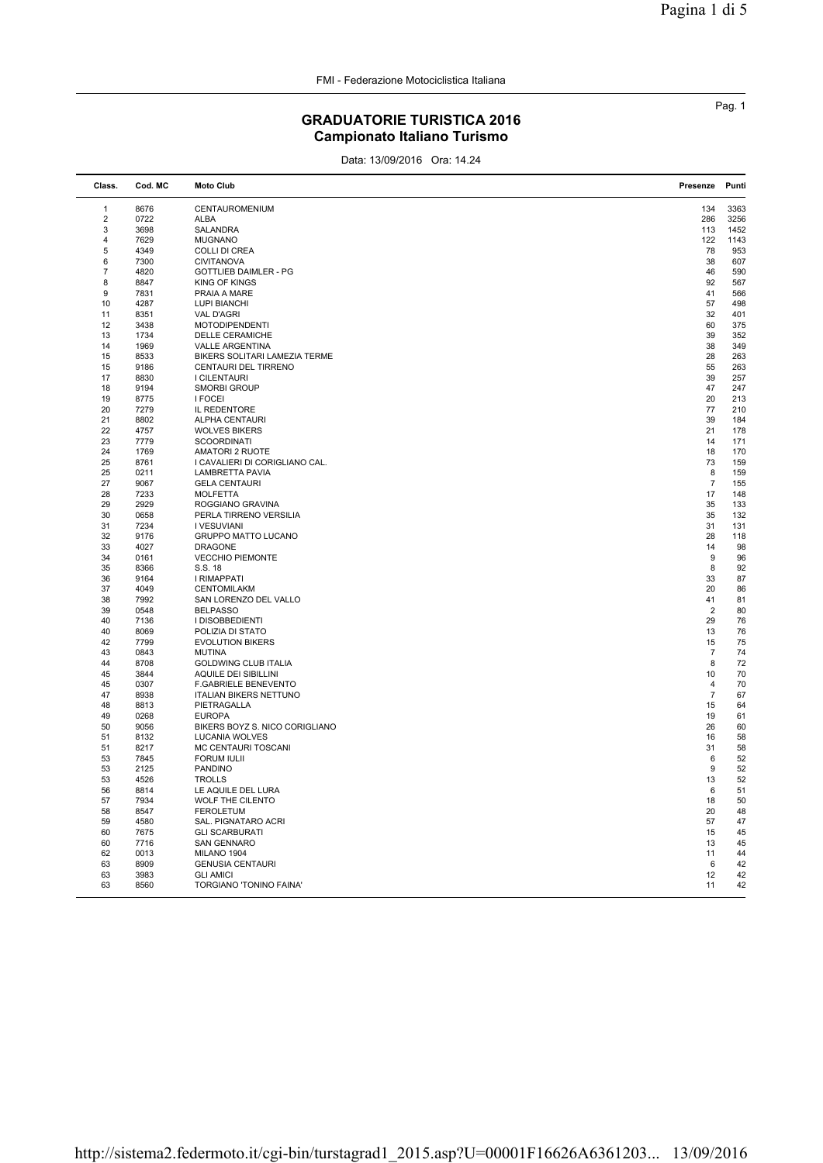FMI - Federazione Motociclistica Italiana

## GRADUATORIE TURISTICA 2016 Campionato Italiano Turismo

Data: 13/09/2016 Ora: 14.24

| Class.                  | Cod. MC | <b>Moto Club</b>               | Presenze         | Punti |
|-------------------------|---------|--------------------------------|------------------|-------|
| $\mathbf{1}$            | 8676    | CENTAUROMENIUM                 | 134              | 3363  |
| $\overline{\mathbf{c}}$ | 0722    | ALBA                           | 286              | 3256  |
| 3                       | 3698    | SALANDRA                       | 113              | 1452  |
| $\overline{4}$          | 7629    | <b>MUGNANO</b>                 | 122              | 1143  |
| 5                       | 4349    | <b>COLLI DI CREA</b>           | 78               | 953   |
| 6                       | 7300    | <b>CIVITANOVA</b>              | 38               | 607   |
| $\overline{7}$          | 4820    | GOTTLIEB DAIMLER - PG          | 46               | 590   |
| 8                       | 8847    | <b>KING OF KINGS</b>           | 92               | 567   |
| 9                       | 7831    | PRAIA A MARE                   | 41               | 566   |
| 10                      | 4287    | <b>LUPI BIANCHI</b>            | 57               | 498   |
| 11                      | 8351    | <b>VAL D'AGRI</b>              | 32               | 401   |
| 12                      | 3438    | <b>MOTODIPENDENTI</b>          | 60               | 375   |
| 13                      | 1734    | DELLE CERAMICHE                | 39               | 352   |
| 14                      | 1969    | <b>VALLE ARGENTINA</b>         | 38               | 349   |
| 15                      | 8533    | BIKERS SOLITARI LAMEZIA TERME  | 28               | 263   |
| 15                      | 9186    | CENTAURI DEL TIRRENO           | 55               | 263   |
| 17                      | 8830    | I CILENTAURI                   | 39               | 257   |
| 18                      | 9194    | <b>SMORBI GROUP</b>            | 47               | 247   |
| 19                      | 8775    | <b>I FOCEI</b>                 | 20               | 213   |
| 20                      | 7279    | IL REDENTORE                   | 77               | 210   |
| 21                      | 8802    | <b>ALPHA CENTAURI</b>          | 39               | 184   |
| 22                      | 4757    | <b>WOLVES BIKERS</b>           | 21               | 178   |
| 23                      | 7779    | <b>SCOORDINATI</b>             | 14               | 171   |
| 24                      | 1769    | <b>AMATORI 2 RUOTE</b>         | 18               | 170   |
| 25                      | 8761    | I CAVALIERI DI CORIGLIANO CAL. | 73               | 159   |
| 25                      | 0211    | LAMBRETTA PAVIA                | 8                | 159   |
| 27                      | 9067    | <b>GELA CENTAURI</b>           | $\overline{7}$   | 155   |
| 28                      | 7233    | <b>MOLFETTA</b>                | 17               | 148   |
| 29                      | 2929    | ROGGIANO GRAVINA               | 35               | 133   |
| 30                      | 0658    | PERLA TIRRENO VERSILIA         | 35               | 132   |
| 31                      | 7234    | I VESUVIANI                    | 31               | 131   |
| 32                      | 9176    | GRUPPO MATTO LUCANO            | 28               | 118   |
| 33                      | 4027    | <b>DRAGONE</b>                 | 14               | 98    |
| 34                      | 0161    | <b>VECCHIO PIEMONTE</b>        | $\boldsymbol{9}$ | 96    |
| 35                      | 8366    | S.S. 18                        | 8                | 92    |
| 36                      | 9164    | I RIMAPPATI                    | 33               | 87    |
| 37                      | 4049    | CENTOMILAKM                    | 20               | 86    |
| 38                      | 7992    | SAN LORENZO DEL VALLO          | 41               | 81    |
| 39                      | 0548    | <b>BELPASSO</b>                | $\overline{2}$   | 80    |
| 40                      | 7136    | I DISOBBEDIENTI                | 29               | 76    |
| 40                      | 8069    | POLIZIA DI STATO               | 13               | 76    |
| 42                      | 7799    | <b>EVOLUTION BIKERS</b>        | 15               | 75    |
| 43                      | 0843    | <b>MUTINA</b>                  | $\overline{7}$   | 74    |
| 44                      | 8708    | <b>GOLDWING CLUB ITALIA</b>    | 8                | 72    |
| 45                      | 3844    | AQUILE DEI SIBILLINI           | 10               | 70    |
| 45                      | 0307    | <b>F.GABRIELE BENEVENTO</b>    | $\overline{4}$   | 70    |
| 47                      | 8938    | <b>ITALIAN BIKERS NETTUNO</b>  | $\overline{7}$   | 67    |
| 48                      | 8813    | PIETRAGALLA                    | 15               | 64    |
| 49                      | 0268    | <b>EUROPA</b>                  | 19               | 61    |
| 50                      | 9056    | BIKERS BOYZ S. NICO CORIGLIANO | 26               | 60    |
| 51                      | 8132    | LUCANIA WOLVES                 | 16               | 58    |
| 51                      | 8217    | MC CENTAURI TOSCANI            | 31               | 58    |
| 53                      | 7845    | <b>FORUM IULII</b>             | 6                | 52    |
| 53                      | 2125    | <b>PANDINO</b>                 | 9                | 52    |
| 53                      | 4526    | <b>TROLLS</b>                  | 13               | 52    |
| 56                      | 8814    | LE AQUILE DEL LURA             | 6                | 51    |
| 57                      | 7934    | WOLF THE CILENTO               | 18               | 50    |
| 58                      | 8547    | <b>FEROLETUM</b>               | 20               | 48    |
| 59                      | 4580    | SAL. PIGNATARO ACRI            | 57               | 47    |
| 60                      | 7675    | <b>GLI SCARBURATI</b>          | 15               | 45    |
| 60                      | 7716    | <b>SAN GENNARO</b>             | 13               | 45    |
| 62                      | 0013    | MILANO 1904                    | 11               | 44    |
| 63                      | 8909    | <b>GENUSIA CENTAURI</b>        | 6                | 42    |
| 63                      | 3983    | <b>GLI AMICI</b>               | 12               | 42    |
| 63                      | 8560    | TORGIANO 'TONINO FAINA'        | 11               | 42    |
|                         |         |                                |                  |       |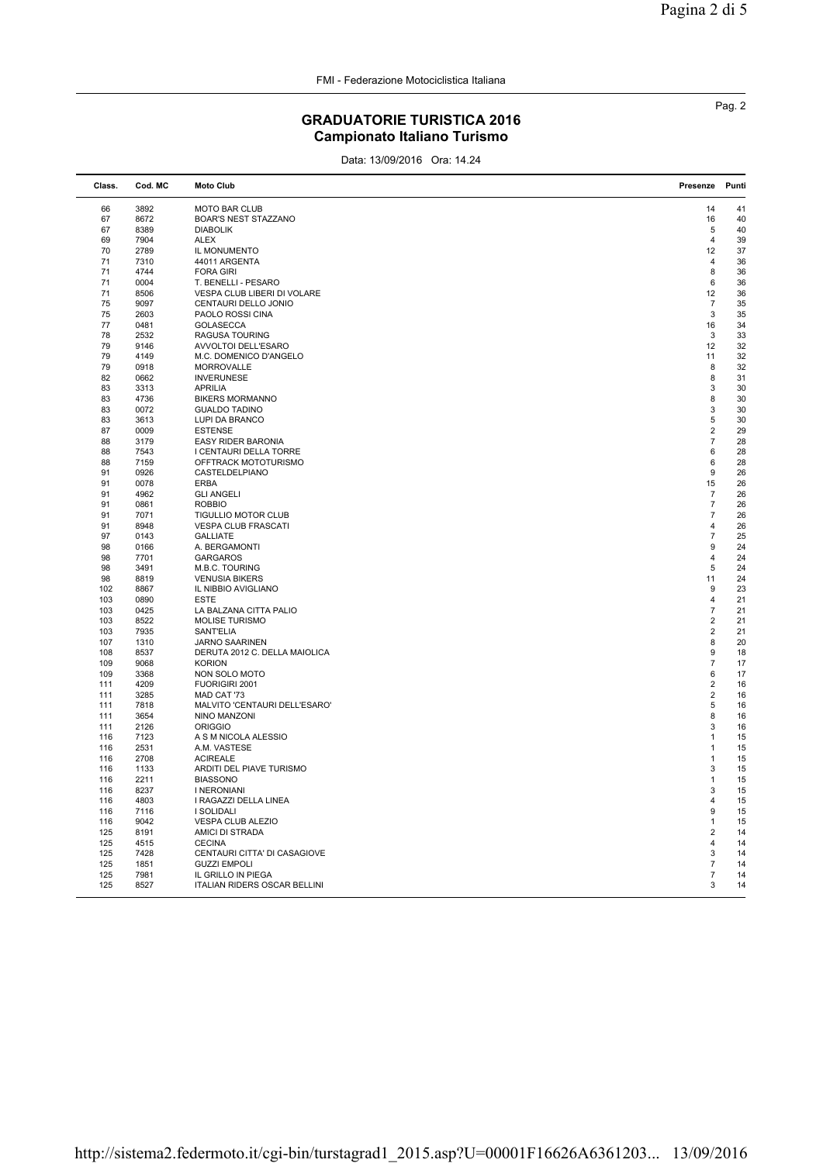FMI - Federazione Motociclistica Italiana

## GRADUATORIE TURISTICA 2016 Campionato Italiano Turismo

Data: 13/09/2016 Ora: 14.24

| Class.   | Cod. MC      | <b>Moto Club</b>                        | Presenze                | Punti    |
|----------|--------------|-----------------------------------------|-------------------------|----------|
| 66       | 3892         | <b>MOTO BAR CLUB</b>                    | 14                      | 41       |
| 67       | 8672         | BOAR'S NEST STAZZANO                    | 16                      | 40       |
| 67       | 8389         | <b>DIABOLIK</b>                         | 5                       | 40       |
| 69       | 7904         | <b>ALEX</b>                             | $\overline{4}$          | 39       |
| 70       | 2789         | IL MONUMENTO                            | 12                      | 37       |
| 71       | 7310         | 44011 ARGENTA                           | $\overline{4}$          | 36       |
|          |              |                                         | 8                       | 36       |
| 71<br>71 | 4744<br>0004 | <b>FORA GIRI</b><br>T. BENELLI - PESARO | 6                       | 36       |
|          |              |                                         |                         |          |
| 71       | 8506         | VESPA CLUB LIBERI DI VOLARE             | 12                      | 36       |
| 75       | 9097         | CENTAURI DELLO JONIO                    | 7                       | 35       |
| 75       | 2603         | PAOLO ROSSI CINA                        | 3                       | 35       |
| 77       | 0481         | <b>GOLASECCA</b>                        | 16                      | 34       |
| 78       | 2532         | <b>RAGUSA TOURING</b>                   | 3                       | 33       |
| 79       | 9146         | AVVOLTOI DELL'ESARO                     | 12                      | 32       |
| 79       | 4149         | M.C. DOMENICO D'ANGELO                  | 11                      | 32       |
| 79       | 0918         | <b>MORROVALLE</b>                       | 8                       | 32       |
| 82       | 0662         | <b>INVERUNESE</b>                       | 8                       | 31       |
| 83       | 3313         | <b>APRILIA</b>                          | 3                       | 30       |
| 83       | 4736         | <b>BIKERS MORMANNO</b>                  | 8                       | 30       |
| 83       | 0072         | <b>GUALDO TADINO</b>                    | 3                       | 30       |
| 83       | 3613         | LUPI DA BRANCO                          | 5                       | 30       |
| 87       | 0009         | <b>ESTENSE</b>                          | $\overline{2}$          | 29       |
| 88       | 3179         | <b>EASY RIDER BARONIA</b>               | $\overline{7}$          | 28       |
| 88       | 7543         | I CENTAURI DELLA TORRE                  | 6                       | 28       |
| 88       | 7159         | OFFTRACK MOTOTURISMO                    | 6                       | 28       |
| 91       | 0926         | CASTELDELPIANO                          | 9                       | 26       |
| 91       | 0078         | <b>ERBA</b>                             | 15                      | 26       |
| 91       | 4962         | <b>GLI ANGELI</b>                       | $\overline{7}$          | 26       |
| 91       | 0861         | <b>ROBBIO</b>                           | $\overline{7}$          | 26       |
| 91       | 7071         | <b>TIGULLIO MOTOR CLUB</b>              | $\overline{7}$          | 26       |
| 91       | 8948         | <b>VESPA CLUB FRASCATI</b>              | 4                       | 26       |
| 97       | 0143         | <b>GALLIATE</b>                         | $\overline{7}$          | 25       |
| 98       | 0166         | A. BERGAMONTI                           | 9                       | 24       |
| 98       | 7701         | <b>GARGAROS</b>                         | 4                       | 24       |
| 98       | 3491         | M.B.C. TOURING                          | 5                       | 24       |
| 98       | 8819         | <b>VENUSIA BIKERS</b>                   | 11                      | 24       |
| 102      | 8867         | IL NIBBIO AVIGLIANO                     | 9                       | 23       |
| 103      | 0890         | ESTE                                    | $\overline{4}$          | 21       |
| 103      | 0425         | LA BALZANA CITTA PALIO                  | $\overline{7}$          | 21       |
| 103      | 8522         | MOLISE TURISMO                          | $\overline{\mathbf{c}}$ | 21       |
| 103      | 7935         | SANT'ELIA                               | $\overline{\mathbf{c}}$ | 21       |
| 107      | 1310         | JARNO SAARINEN                          | 8                       | 20       |
| 108      | 8537         | DERUTA 2012 C. DELLA MAIOLICA           | 9                       | 18       |
| 109      | 9068         | <b>KORION</b>                           | $\overline{7}$          | 17       |
| 109      | 3368         | NON SOLO MOTO                           | 6                       | 17       |
| 111      | 4209         | FUORIGIRI 2001                          | $\overline{2}$          | 16       |
| 111      | 3285         | MAD CAT '73                             | $\overline{2}$          | 16       |
| 111      | 7818         | MALVITO 'CENTAURI DELL'ESARO'           | 5                       | 16       |
| 111      |              |                                         |                         |          |
|          | 3654         | NINO MANZONI                            | 8<br>3                  | 16       |
| 111      | 2126<br>7123 | <b>ORIGGIO</b><br>A S M NICOLA ALESSIO  |                         | 16<br>15 |
| 116      |              |                                         | $\mathbf{1}$            |          |
| 116      | 2531         | A.M. VASTESE                            | 1                       | 15       |
| 116      | 2708         | <b>ACIREALE</b>                         | 1                       | 15       |
| 116      | 1133         | ARDITI DEL PIAVE TURISMO                | 3                       | 15       |
| 116      | 2211         | <b>BIASSONO</b>                         | 1                       | 15       |
| 116      | 8237         | I NERONIANI                             | 3                       | 15       |
| 116      | 4803         | I RAGAZZI DELLA LINEA                   | 4                       | 15       |
| 116      | 7116         | I SOLIDALI                              | 9                       | 15       |
| 116      | 9042         | VESPA CLUB ALEZIO                       | 1                       | 15       |
| 125      | 8191         | AMICI DI STRADA                         | $\overline{2}$          | 14       |
| 125      | 4515         | <b>CECINA</b>                           | $\overline{4}$          | 14       |
| 125      | 7428         | CENTAURI CITTA' DI CASAGIOVE            | 3                       | 14       |
| 125      | 1851         | <b>GUZZI EMPOLI</b>                     | $\overline{7}$          | 14       |
| 125      | 7981         | IL GRILLO IN PIEGA                      | $\overline{7}$          | 14       |
| 125      | 8527         | ITALIAN RIDERS OSCAR BELLINI            | 3                       | 14       |
|          |              |                                         |                         |          |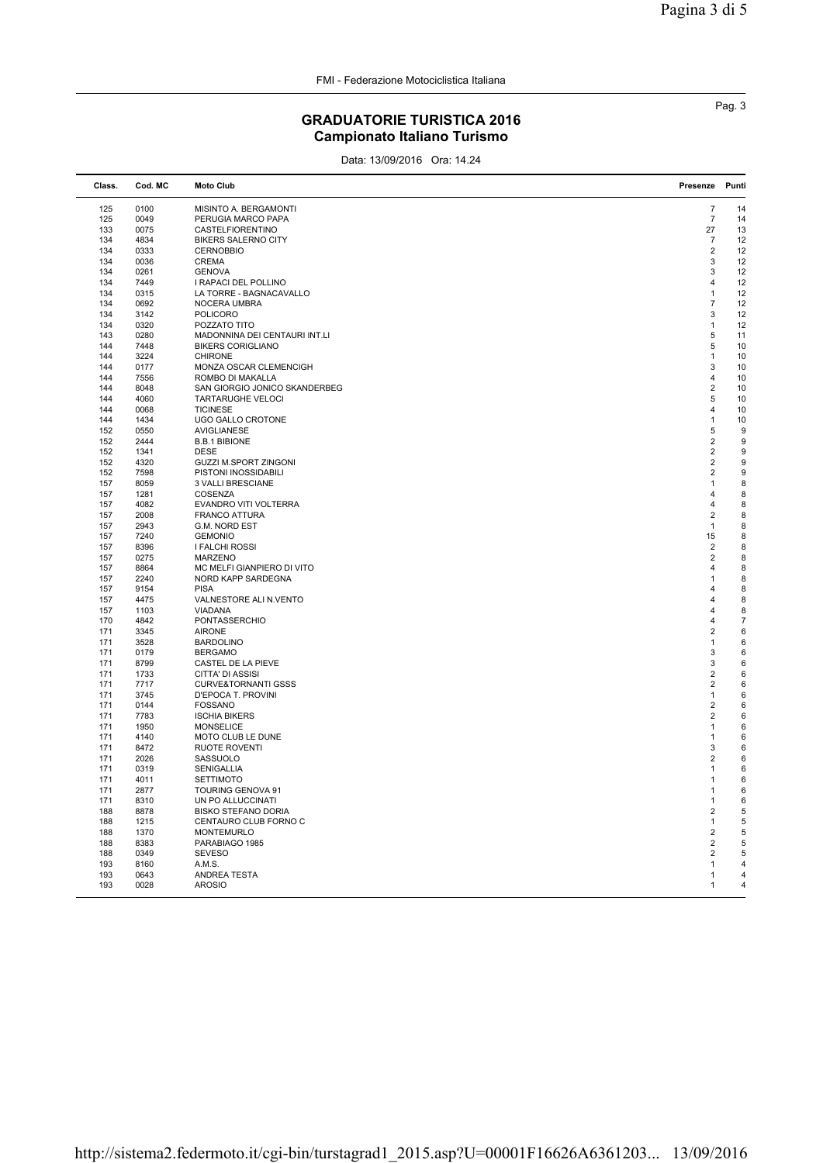## GRADUATORIE TURISTICA 2016 Campionato Italiano Turismo

Data: 13/09/2016 Ora: 14.24

| Class. | Cod. MC | <b>Moto Club</b>               | Presenze                | Punti          |
|--------|---------|--------------------------------|-------------------------|----------------|
| 125    | 0100    | MISINTO A. BERGAMONTI          | $\overline{7}$          | 14             |
| 125    | 0049    | PERUGIA MARCO PAPA             | $\overline{7}$          | 14             |
| 133    | 0075    | CASTELFIORENTINO               | 27                      | 13             |
| 134    | 4834    | <b>BIKERS SALERNO CITY</b>     | $\overline{7}$          | 12             |
| 134    | 0333    | <b>CERNOBBIO</b>               | $\overline{2}$          | 12             |
| 134    | 0036    | <b>CREMA</b>                   | 3                       | 12             |
| 134    | 0261    | <b>GENOVA</b>                  | 3                       | 12             |
| 134    | 7449    | I RAPACI DEL POLLINO           | $\overline{4}$          | 12             |
| 134    | 0315    | LA TORRE - BAGNACAVALLO        | $\mathbf{1}$            | 12             |
| 134    | 0692    | NOCERA UMBRA                   | $\overline{7}$          | 12             |
| 134    | 3142    | <b>POLICORO</b>                | 3                       | 12             |
| 134    | 0320    | POZZATO TITO                   | $\mathbf{1}$            | 12             |
| 143    | 0280    | MADONNINA DEI CENTAURI INT.LI  | 5                       | 11             |
| 144    | 7448    | <b>BIKERS CORIGLIANO</b>       | 5                       | 10             |
| 144    | 3224    | <b>CHIRONE</b>                 | $\mathbf{1}$            | 10             |
| 144    | 0177    | MONZA OSCAR CLEMENCIGH         | 3                       | 10             |
| 144    | 7556    | ROMBO DI MAKALLA               | 4                       | 10             |
| 144    | 8048    | SAN GIORGIO JONICO SKANDERBEG  | $\overline{2}$          | 10             |
| 144    | 4060    | <b>TARTARUGHE VELOCI</b>       | 5                       | 10             |
| 144    | 0068    | <b>TICINESE</b>                | 4                       | 10             |
| 144    | 1434    | UGO GALLO CROTONE              | $\mathbf{1}$            | 10             |
| 152    | 0550    | AVIGLIANESE                    | 5                       | 9              |
| 152    | 2444    | <b>B.B.1 BIBIONE</b>           | $\overline{2}$          | 9              |
| 152    | 1341    | <b>DESE</b>                    | $\overline{2}$          | 9              |
| 152    | 4320    | <b>GUZZI M.SPORT ZINGONI</b>   | $\overline{2}$          | 9              |
| 152    | 7598    | PISTONI INOSSIDABILI           | $\overline{2}$          | 9              |
| 157    | 8059    | 3 VALLI BRESCIANE              | 1                       | 8              |
| 157    | 1281    | COSENZA                        | $\overline{4}$          | 8              |
| 157    | 4082    | EVANDRO VITI VOLTERRA          | $\overline{4}$          | 8              |
| 157    | 2008    | <b>FRANCO ATTURA</b>           | $\overline{2}$          | 8              |
| 157    | 2943    | G.M. NORD EST                  | 1                       | 8              |
| 157    | 7240    | <b>GEMONIO</b>                 | 15                      | 8              |
| 157    | 8396    | I FALCHI ROSSI                 | $\overline{2}$          | 8              |
| 157    | 0275    | <b>MARZENO</b>                 | $\overline{2}$          | 8              |
| 157    | 8864    | MC MELFI GIANPIERO DI VITO     | $\overline{\mathbf{A}}$ | 8              |
| 157    | 2240    | NORD KAPP SARDEGNA             | 1                       | 8              |
| 157    | 9154    | <b>PISA</b>                    | $\overline{4}$          | 8              |
| 157    | 4475    | VALNESTORE ALI N.VENTO         | $\overline{4}$          | 8              |
| 157    | 1103    | <b>VIADANA</b>                 | $\overline{4}$          | 8              |
| 170    | 4842    | PONTASSERCHIO                  | 4                       | $\overline{7}$ |
| 171    | 3345    | <b>AIRONE</b>                  | $\overline{2}$          | 6              |
| 171    | 3528    | <b>BARDOLINO</b>               | $\mathbf{1}$            | 6              |
| 171    | 0179    | <b>BERGAMO</b>                 | 3                       | 6              |
| 171    | 8799    | CASTEL DE LA PIEVE             | 3                       | 6              |
| 171    | 1733    | CITTA' DI ASSISI               | $\overline{\mathbf{c}}$ | 6              |
| 171    | 7717    | <b>CURVE&amp;TORNANTI GSSS</b> | $\overline{2}$          | 6              |
| 171    | 3745    | D'EPOCA T. PROVINI             | $\mathbf{1}$            | 6              |
| 171    | 0144    | <b>FOSSANO</b>                 | $\overline{2}$          | 6              |
| 171    | 7783    | <b>ISCHIA BIKERS</b>           | $\overline{2}$          | 6              |
| 171    | 1950    | <b>MONSELICE</b>               | 1                       | 6              |
| 171    | 4140    | MOTO CLUB LE DUNE              | 1                       | 6              |
| 171    | 8472    | RUOTE ROVENTI                  | 3                       | 6              |
| 171    | 2026    | SASSUOLO                       | $\overline{2}$          | 6              |
| 171    | 0319    | SENIGALLIA                     | 1                       | 6              |
| 171    | 4011    | <b>SETTIMOTO</b>               | 1                       | 6              |
| 171    | 2877    | TOURING GENOVA 91              | 1                       | 6              |
| 171    | 8310    | UN PO ALLUCCINATI              | 1                       | 6              |
| 188    | 8878    | <b>BISKO STEFANO DORIA</b>     | $\overline{2}$          | 5              |
| 188    | 1215    | CENTAURO CLUB FORNO C          | $\mathbf{1}$            | 5              |
| 188    | 1370    | <b>MONTEMURLO</b>              | $\overline{2}$          | 5              |
| 188    | 8383    | PARABIAGO 1985                 | $\overline{2}$          | 5              |
| 188    | 0349    | <b>SEVESO</b>                  | $\overline{2}$          | 5              |
| 193    | 8160    | A.M.S.                         | 1                       | 4              |
| 193    | 0643    | ANDREA TESTA                   | 1                       | 4              |
| 193    | 0028    | <b>AROSIO</b>                  | 1                       | 4              |
|        |         |                                |                         |                |